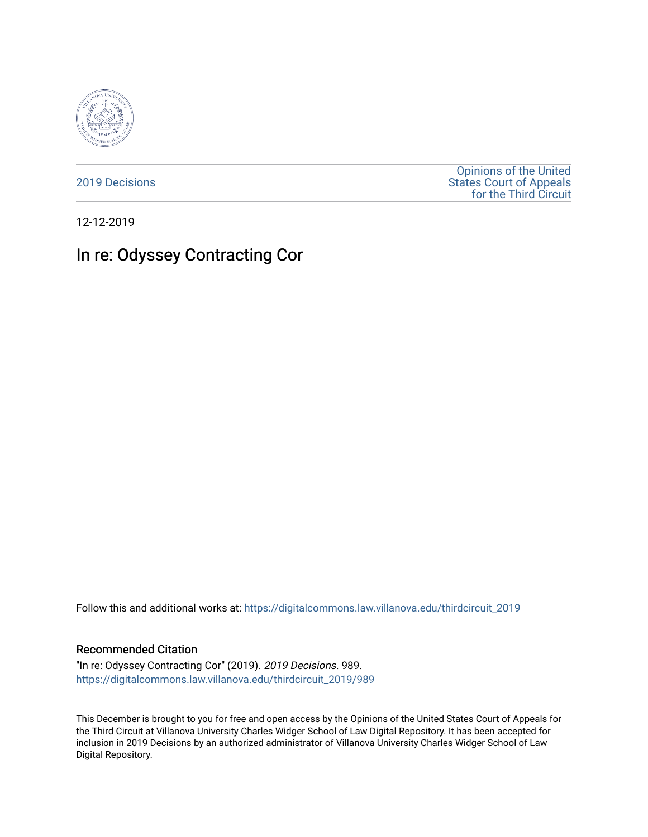

[2019 Decisions](https://digitalcommons.law.villanova.edu/thirdcircuit_2019)

[Opinions of the United](https://digitalcommons.law.villanova.edu/thirdcircuit)  [States Court of Appeals](https://digitalcommons.law.villanova.edu/thirdcircuit)  [for the Third Circuit](https://digitalcommons.law.villanova.edu/thirdcircuit) 

12-12-2019

# In re: Odyssey Contracting Cor

Follow this and additional works at: [https://digitalcommons.law.villanova.edu/thirdcircuit\\_2019](https://digitalcommons.law.villanova.edu/thirdcircuit_2019?utm_source=digitalcommons.law.villanova.edu%2Fthirdcircuit_2019%2F989&utm_medium=PDF&utm_campaign=PDFCoverPages) 

#### Recommended Citation

"In re: Odyssey Contracting Cor" (2019). 2019 Decisions. 989. [https://digitalcommons.law.villanova.edu/thirdcircuit\\_2019/989](https://digitalcommons.law.villanova.edu/thirdcircuit_2019/989?utm_source=digitalcommons.law.villanova.edu%2Fthirdcircuit_2019%2F989&utm_medium=PDF&utm_campaign=PDFCoverPages)

This December is brought to you for free and open access by the Opinions of the United States Court of Appeals for the Third Circuit at Villanova University Charles Widger School of Law Digital Repository. It has been accepted for inclusion in 2019 Decisions by an authorized administrator of Villanova University Charles Widger School of Law Digital Repository.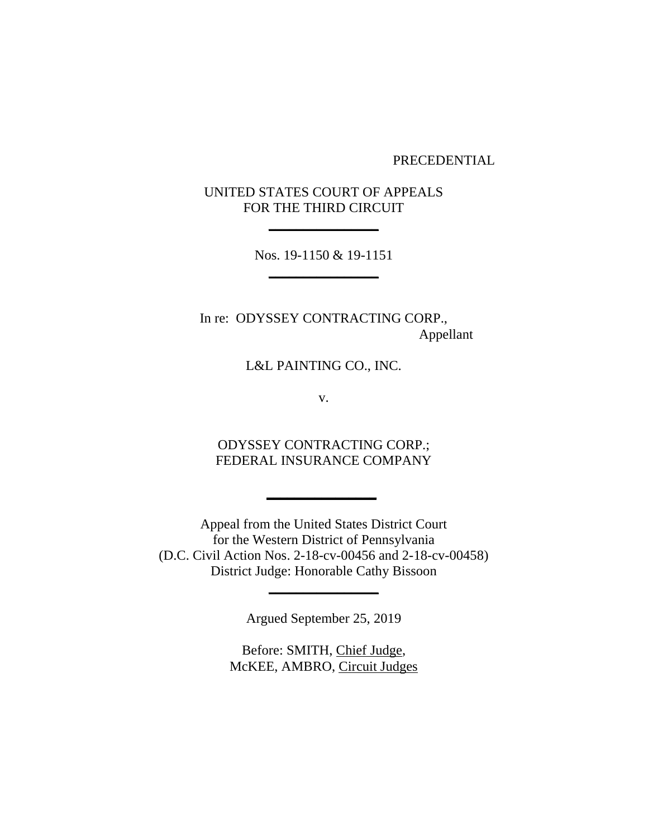PRECEDENTIAL

UNITED STATES COURT OF APPEALS FOR THE THIRD CIRCUIT

**\_\_\_\_\_\_\_\_\_\_\_\_\_\_\_\_**

Nos. 19-1150 & 19-1151 **\_\_\_\_\_\_\_\_\_\_\_\_\_\_\_\_**

In re: ODYSSEY CONTRACTING CORP., Appellant

L&L PAINTING CO., INC.

v.

ODYSSEY CONTRACTING CORP.; FEDERAL INSURANCE COMPANY

**\_\_\_\_\_\_\_\_\_\_\_\_\_\_\_\_**

Appeal from the United States District Court for the Western District of Pennsylvania (D.C. Civil Action Nos. 2-18-cv-00456 and 2-18-cv-00458) District Judge: Honorable Cathy Bissoon

Argued September 25, 2019

**\_\_\_\_\_\_\_\_\_\_\_\_\_\_\_\_**

Before: SMITH, Chief Judge, McKEE, AMBRO, Circuit Judges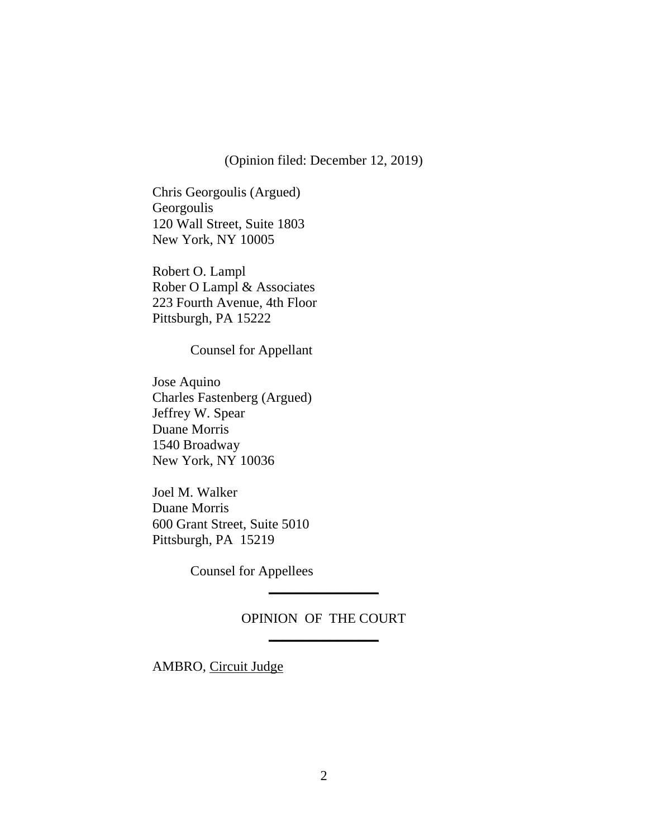(Opinion filed: December 12, 2019)

Chris Georgoulis (Argued) Georgoulis 120 Wall Street, Suite 1803 New York, NY 10005

Robert O. Lampl Rober O Lampl & Associates 223 Fourth Avenue, 4th Floor Pittsburgh, PA 15222

Counsel for Appellant

Jose Aquino Charles Fastenberg (Argued) Jeffrey W. Spear Duane Morris 1540 Broadway New York, NY 10036

Joel M. Walker Duane Morris 600 Grant Street, Suite 5010 Pittsburgh, PA 15219

Counsel for Appellees

## OPINION OF THE COURT **\_\_\_\_\_\_\_\_\_\_\_\_\_\_\_\_**

**\_\_\_\_\_\_\_\_\_\_\_\_\_\_\_\_**

AMBRO, Circuit Judge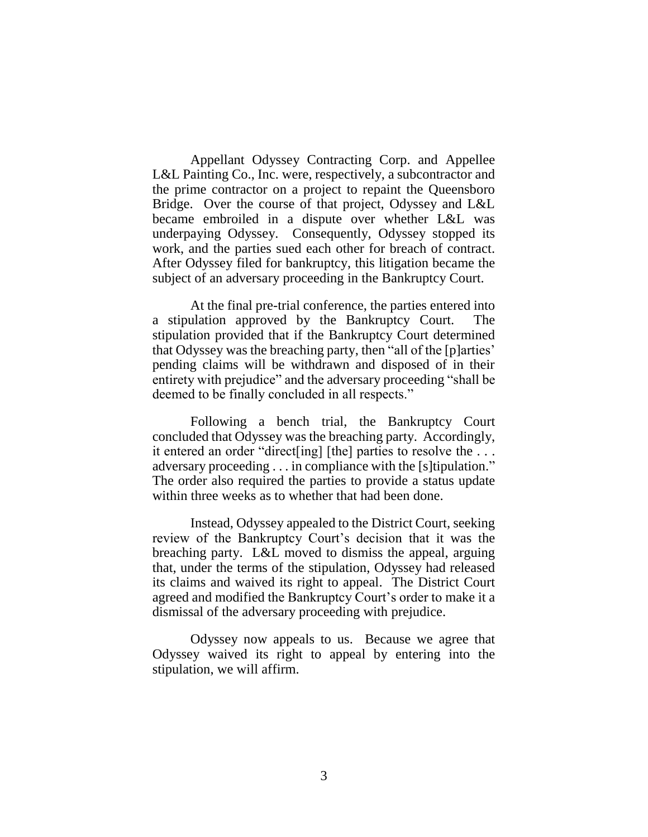Appellant Odyssey Contracting Corp. and Appellee L&L Painting Co., Inc. were, respectively, a subcontractor and the prime contractor on a project to repaint the Queensboro Bridge. Over the course of that project, Odyssey and L&L became embroiled in a dispute over whether L&L was underpaying Odyssey. Consequently, Odyssey stopped its work, and the parties sued each other for breach of contract. After Odyssey filed for bankruptcy, this litigation became the subject of an adversary proceeding in the Bankruptcy Court.

At the final pre-trial conference, the parties entered into a stipulation approved by the Bankruptcy Court. The stipulation provided that if the Bankruptcy Court determined that Odyssey was the breaching party, then "all of the [p]arties' pending claims will be withdrawn and disposed of in their entirety with prejudice" and the adversary proceeding "shall be deemed to be finally concluded in all respects."

Following a bench trial, the Bankruptcy Court concluded that Odyssey was the breaching party. Accordingly, it entered an order "direct[ing] [the] parties to resolve the . . . adversary proceeding . . . in compliance with the [s]tipulation." The order also required the parties to provide a status update within three weeks as to whether that had been done.

Instead, Odyssey appealed to the District Court, seeking review of the Bankruptcy Court's decision that it was the breaching party. L&L moved to dismiss the appeal, arguing that, under the terms of the stipulation, Odyssey had released its claims and waived its right to appeal. The District Court agreed and modified the Bankruptcy Court's order to make it a dismissal of the adversary proceeding with prejudice.

Odyssey now appeals to us. Because we agree that Odyssey waived its right to appeal by entering into the stipulation, we will affirm.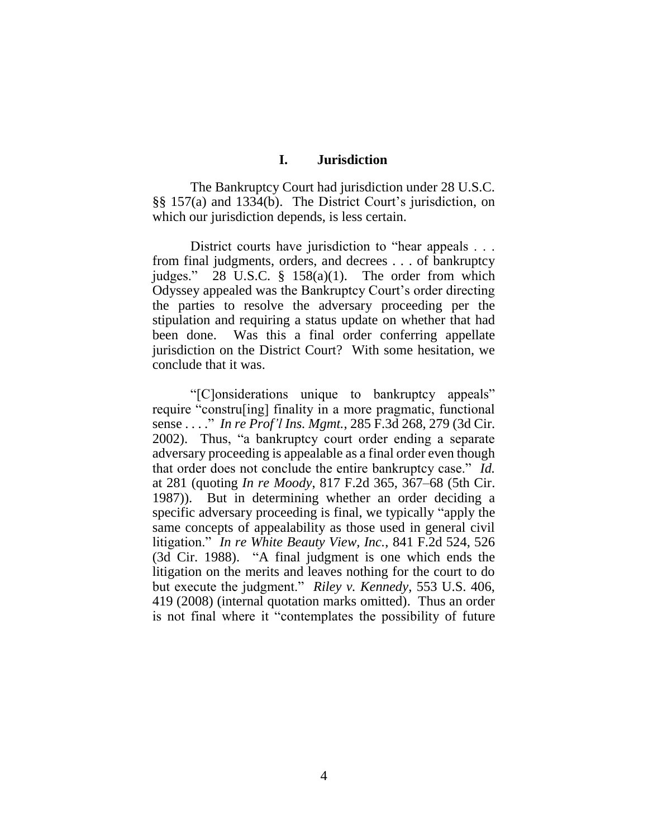### **I. Jurisdiction**

The Bankruptcy Court had jurisdiction under 28 U.S.C. §§ 157(a) and 1334(b). The District Court's jurisdiction, on which our jurisdiction depends, is less certain.

District courts have jurisdiction to "hear appeals . . . from final judgments, orders, and decrees . . . of bankruptcy judges." 28 U.S.C. § 158(a)(1). The order from which Odyssey appealed was the Bankruptcy Court's order directing the parties to resolve the adversary proceeding per the stipulation and requiring a status update on whether that had been done. Was this a final order conferring appellate jurisdiction on the District Court? With some hesitation, we conclude that it was.

"[C]onsiderations unique to bankruptcy appeals" require "constru[ing] finality in a more pragmatic, functional sense . . . ." *In re Prof'l Ins. Mgmt.*, 285 F.3d 268, 279 (3d Cir. 2002). Thus, "a bankruptcy court order ending a separate adversary proceeding is appealable as a final order even though that order does not conclude the entire bankruptcy case." *Id.* at 281 (quoting *In re Moody*, 817 F.2d 365, 367–68 (5th Cir. 1987)). But in determining whether an order deciding a specific adversary proceeding is final, we typically "apply the same concepts of appealability as those used in general civil litigation." *In re White Beauty View, Inc.*, 841 F.2d 524, 526 (3d Cir. 1988). "A final judgment is one which ends the litigation on the merits and leaves nothing for the court to do but execute the judgment." *Riley v. Kennedy*, 553 U.S. 406, 419 (2008) (internal quotation marks omitted). Thus an order is not final where it "contemplates the possibility of future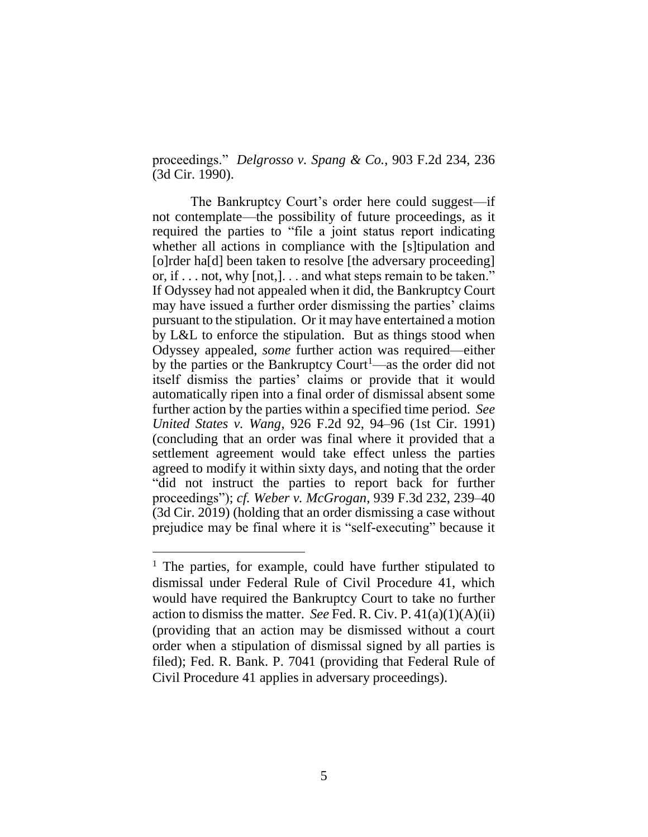proceedings." *Delgrosso v. Spang & Co.*, 903 F.2d 234, 236 (3d Cir. 1990).

The Bankruptcy Court's order here could suggest—if not contemplate—the possibility of future proceedings, as it required the parties to "file a joint status report indicating whether all actions in compliance with the [s]tipulation and [o]rder ha[d] been taken to resolve [the adversary proceeding] or, if . . . not, why [not,]. . . and what steps remain to be taken." If Odyssey had not appealed when it did, the Bankruptcy Court may have issued a further order dismissing the parties' claims pursuant to the stipulation. Or it may have entertained a motion by L&L to enforce the stipulation. But as things stood when Odyssey appealed, *some* further action was required—either by the parties or the Bankruptcy Court<sup>1</sup>—as the order did not itself dismiss the parties' claims or provide that it would automatically ripen into a final order of dismissal absent some further action by the parties within a specified time period. *See United States v. Wang*, 926 F.2d 92, 94–96 (1st Cir. 1991) (concluding that an order was final where it provided that a settlement agreement would take effect unless the parties agreed to modify it within sixty days, and noting that the order "did not instruct the parties to report back for further proceedings"); *cf. Weber v. McGrogan*, 939 F.3d 232, 239–40 (3d Cir. 2019) (holding that an order dismissing a case without prejudice may be final where it is "self-executing" because it

 $\overline{a}$ 

<sup>&</sup>lt;sup>1</sup> The parties, for example, could have further stipulated to dismissal under Federal Rule of Civil Procedure 41, which would have required the Bankruptcy Court to take no further action to dismiss the matter. *See* Fed. R. Civ. P.  $41(a)(1)(A)(ii)$ (providing that an action may be dismissed without a court order when a stipulation of dismissal signed by all parties is filed); Fed. R. Bank. P. 7041 (providing that Federal Rule of Civil Procedure 41 applies in adversary proceedings).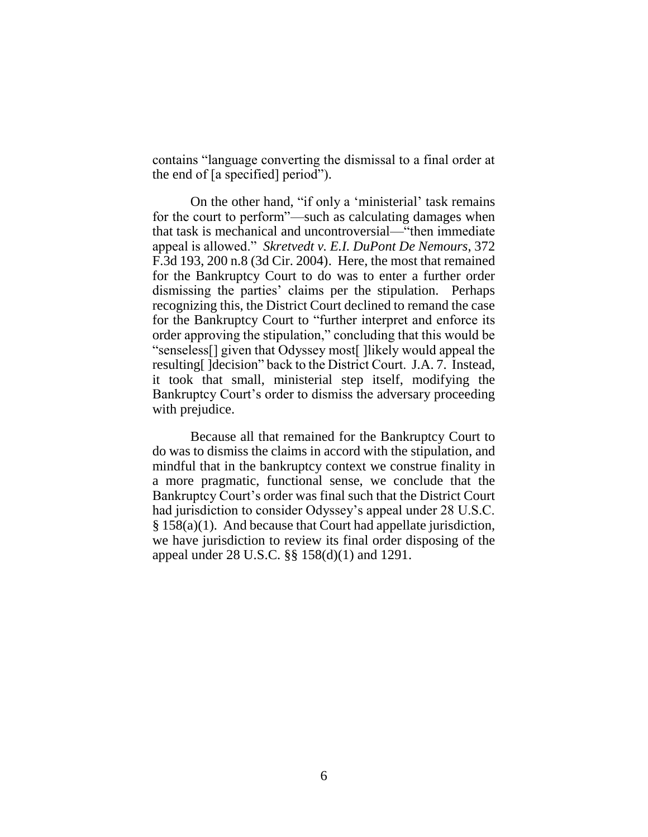contains "language converting the dismissal to a final order at the end of [a specified] period").

On the other hand, "if only a 'ministerial' task remains for the court to perform"—such as calculating damages when that task is mechanical and uncontroversial—"then immediate appeal is allowed." *Skretvedt v. E.I. DuPont De Nemours*, 372 F.3d 193, 200 n.8 (3d Cir. 2004). Here, the most that remained for the Bankruptcy Court to do was to enter a further order dismissing the parties' claims per the stipulation. Perhaps recognizing this, the District Court declined to remand the case for the Bankruptcy Court to "further interpret and enforce its order approving the stipulation," concluding that this would be "senseless[] given that Odyssey most[ ]likely would appeal the resulting[ ]decision" back to the District Court. J.A. 7. Instead, it took that small, ministerial step itself, modifying the Bankruptcy Court's order to dismiss the adversary proceeding with prejudice.

Because all that remained for the Bankruptcy Court to do was to dismiss the claims in accord with the stipulation, and mindful that in the bankruptcy context we construe finality in a more pragmatic, functional sense, we conclude that the Bankruptcy Court's order was final such that the District Court had jurisdiction to consider Odyssey's appeal under 28 U.S.C. § 158(a)(1). And because that Court had appellate jurisdiction, we have jurisdiction to review its final order disposing of the appeal under 28 U.S.C. §§ 158(d)(1) and 1291.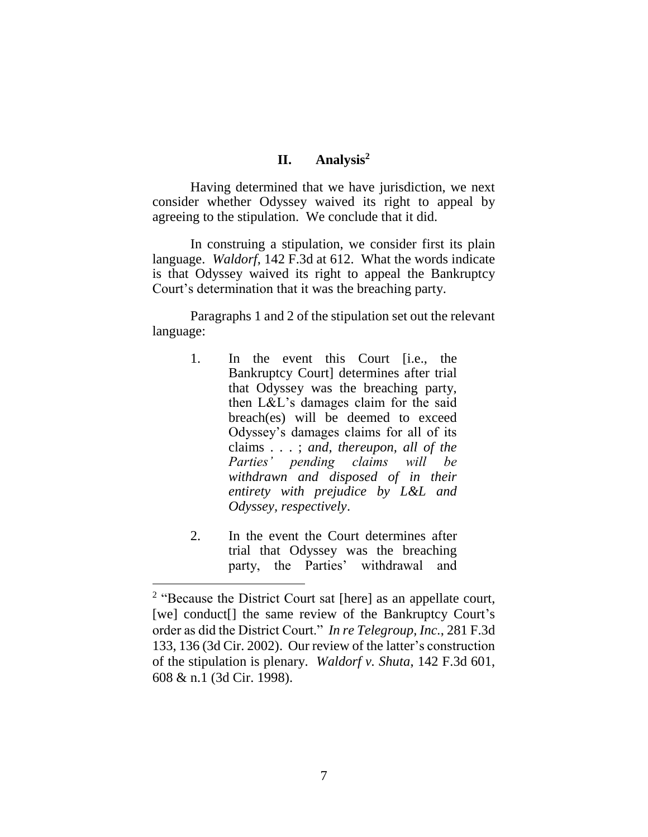## **II. Analysis<sup>2</sup>**

Having determined that we have jurisdiction, we next consider whether Odyssey waived its right to appeal by agreeing to the stipulation. We conclude that it did.

In construing a stipulation, we consider first its plain language. *Waldorf*, 142 F.3d at 612. What the words indicate is that Odyssey waived its right to appeal the Bankruptcy Court's determination that it was the breaching party.

Paragraphs 1 and 2 of the stipulation set out the relevant language:

- 1. In the event this Court [i.e., the Bankruptcy Court] determines after trial that Odyssey was the breaching party, then L&L's damages claim for the said breach(es) will be deemed to exceed Odyssey's damages claims for all of its claims . . . ; *and, thereupon, all of the Parties' pending claims will be withdrawn and disposed of in their entirety with prejudice by L&L and Odyssey, respectively*.
- 2. In the event the Court determines after trial that Odyssey was the breaching party, the Parties' withdrawal and

 $\overline{a}$ 

<sup>&</sup>lt;sup>2</sup> "Because the District Court sat [here] as an appellate court, [we] conduct[] the same review of the Bankruptcy Court's order as did the District Court." *In re Telegroup, Inc.*, 281 F.3d 133, 136 (3d Cir. 2002). Our review of the latter's construction of the stipulation is plenary. *Waldorf v. Shuta*, 142 F.3d 601, 608 & n.1 (3d Cir. 1998).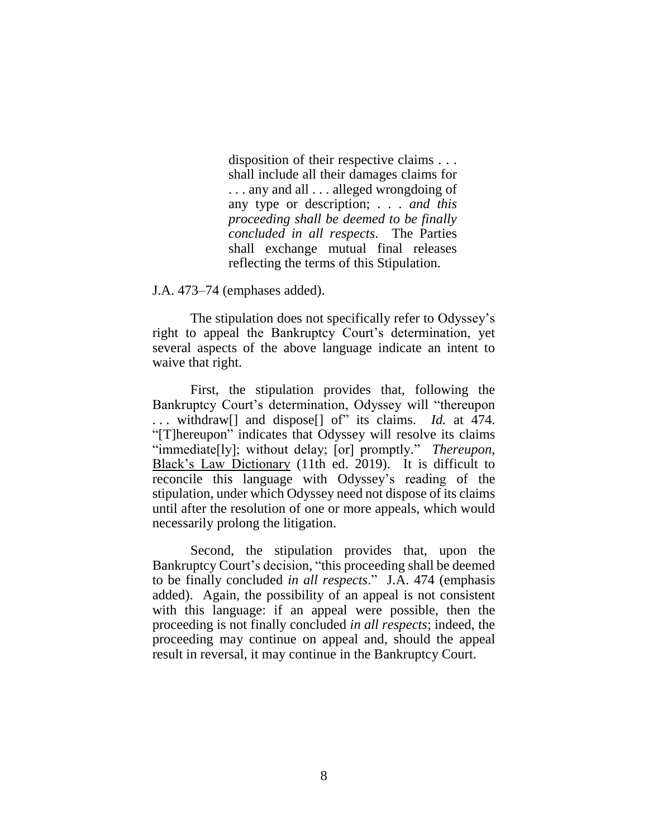disposition of their respective claims . . . shall include all their damages claims for . . . any and all . . . alleged wrongdoing of any type or description; . . . *and this proceeding shall be deemed to be finally concluded in all respects*. The Parties shall exchange mutual final releases reflecting the terms of this Stipulation.

J.A. 473–74 (emphases added).

The stipulation does not specifically refer to Odyssey's right to appeal the Bankruptcy Court's determination, yet several aspects of the above language indicate an intent to waive that right.

First, the stipulation provides that, following the Bankruptcy Court's determination, Odyssey will "thereupon . . . withdraw[] and dispose[] of" its claims. *Id.* at 474. "[T]hereupon" indicates that Odyssey will resolve its claims "immediate[ly]; without delay; [or] promptly." *Thereupon*, Black's Law Dictionary (11th ed. 2019). It is difficult to reconcile this language with Odyssey's reading of the stipulation, under which Odyssey need not dispose of its claims until after the resolution of one or more appeals, which would necessarily prolong the litigation.

Second, the stipulation provides that, upon the Bankruptcy Court's decision, "this proceeding shall be deemed to be finally concluded *in all respects*." J.A. 474 (emphasis added). Again, the possibility of an appeal is not consistent with this language: if an appeal were possible, then the proceeding is not finally concluded *in all respects*; indeed, the proceeding may continue on appeal and, should the appeal result in reversal, it may continue in the Bankruptcy Court.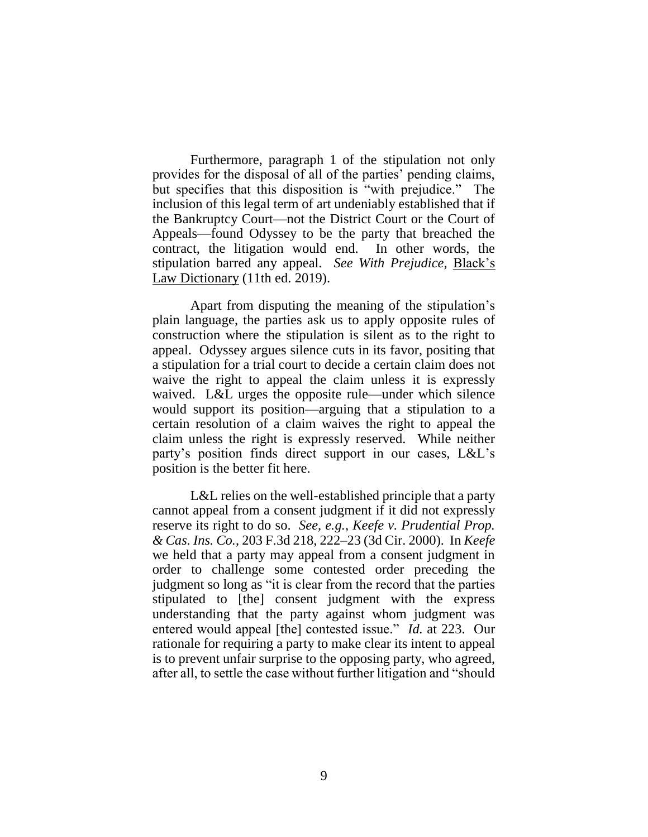Furthermore, paragraph 1 of the stipulation not only provides for the disposal of all of the parties' pending claims, but specifies that this disposition is "with prejudice." The inclusion of this legal term of art undeniably established that if the Bankruptcy Court—not the District Court or the Court of Appeals—found Odyssey to be the party that breached the contract, the litigation would end. In other words, the stipulation barred any appeal. *See With Prejudice*, Black's Law Dictionary (11th ed. 2019).

Apart from disputing the meaning of the stipulation's plain language, the parties ask us to apply opposite rules of construction where the stipulation is silent as to the right to appeal. Odyssey argues silence cuts in its favor, positing that a stipulation for a trial court to decide a certain claim does not waive the right to appeal the claim unless it is expressly waived. L&L urges the opposite rule—under which silence would support its position—arguing that a stipulation to a certain resolution of a claim waives the right to appeal the claim unless the right is expressly reserved. While neither party's position finds direct support in our cases, L&L's position is the better fit here.

L&L relies on the well-established principle that a party cannot appeal from a consent judgment if it did not expressly reserve its right to do so. *See, e.g.*, *Keefe v. Prudential Prop. & Cas. Ins. Co.*, 203 F.3d 218, 222–23 (3d Cir. 2000). In *Keefe* we held that a party may appeal from a consent judgment in order to challenge some contested order preceding the judgment so long as "it is clear from the record that the parties stipulated to [the] consent judgment with the express understanding that the party against whom judgment was entered would appeal [the] contested issue." *Id.* at 223. Our rationale for requiring a party to make clear its intent to appeal is to prevent unfair surprise to the opposing party, who agreed, after all, to settle the case without further litigation and "should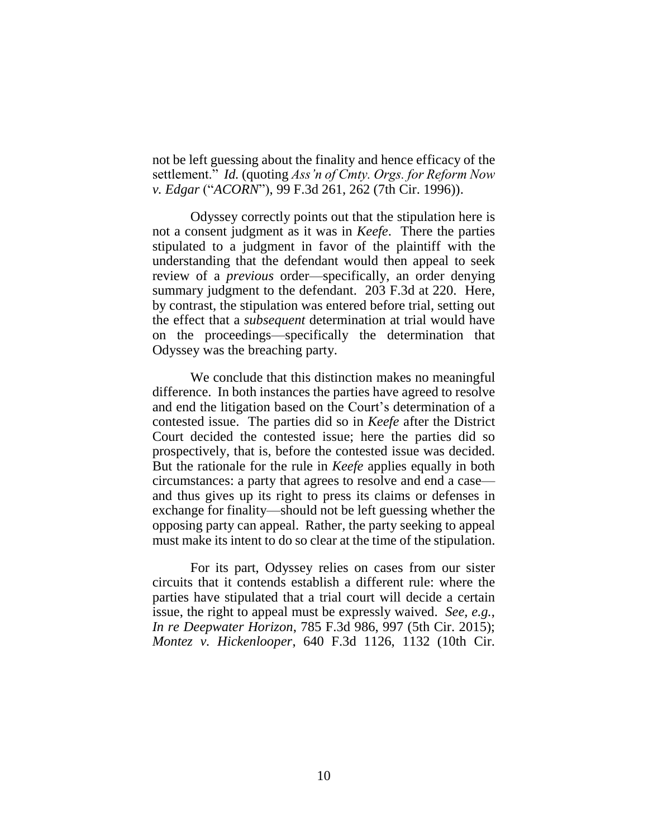not be left guessing about the finality and hence efficacy of the settlement." *Id.* (quoting *Ass'n of Cmty. Orgs. for Reform Now v. Edgar* ("*ACORN*"), 99 F.3d 261, 262 (7th Cir. 1996)).

Odyssey correctly points out that the stipulation here is not a consent judgment as it was in *Keefe*. There the parties stipulated to a judgment in favor of the plaintiff with the understanding that the defendant would then appeal to seek review of a *previous* order—specifically, an order denying summary judgment to the defendant. 203 F.3d at 220. Here, by contrast, the stipulation was entered before trial, setting out the effect that a *subsequent* determination at trial would have on the proceedings—specifically the determination that Odyssey was the breaching party.

We conclude that this distinction makes no meaningful difference. In both instances the parties have agreed to resolve and end the litigation based on the Court's determination of a contested issue. The parties did so in *Keefe* after the District Court decided the contested issue; here the parties did so prospectively, that is, before the contested issue was decided. But the rationale for the rule in *Keefe* applies equally in both circumstances: a party that agrees to resolve and end a case and thus gives up its right to press its claims or defenses in exchange for finality—should not be left guessing whether the opposing party can appeal. Rather, the party seeking to appeal must make its intent to do so clear at the time of the stipulation.

For its part, Odyssey relies on cases from our sister circuits that it contends establish a different rule: where the parties have stipulated that a trial court will decide a certain issue, the right to appeal must be expressly waived. *See, e.g.*, *In re Deepwater Horizon*, 785 F.3d 986, 997 (5th Cir. 2015); *Montez v. Hickenlooper*, 640 F.3d 1126, 1132 (10th Cir.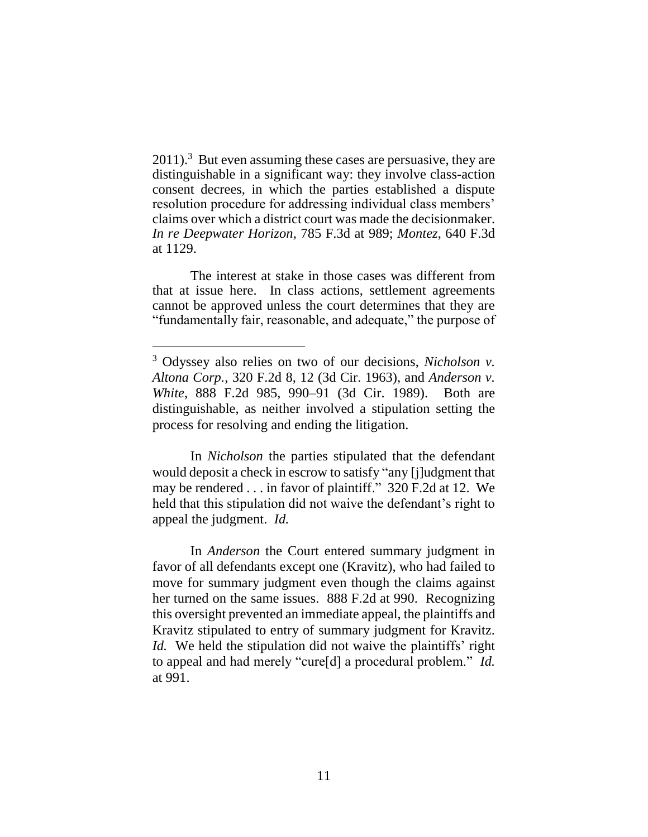$2011$ ).<sup>3</sup> But even assuming these cases are persuasive, they are distinguishable in a significant way: they involve class-action consent decrees, in which the parties established a dispute resolution procedure for addressing individual class members' claims over which a district court was made the decisionmaker. *In re Deepwater Horizon*, 785 F.3d at 989; *Montez*, 640 F.3d at 1129.

The interest at stake in those cases was different from that at issue here. In class actions, settlement agreements cannot be approved unless the court determines that they are "fundamentally fair, reasonable, and adequate," the purpose of

In *Nicholson* the parties stipulated that the defendant would deposit a check in escrow to satisfy "any [j]udgment that may be rendered . . . in favor of plaintiff." 320 F.2d at 12. We held that this stipulation did not waive the defendant's right to appeal the judgment. *Id.*

In *Anderson* the Court entered summary judgment in favor of all defendants except one (Kravitz), who had failed to move for summary judgment even though the claims against her turned on the same issues. 888 F.2d at 990. Recognizing this oversight prevented an immediate appeal, the plaintiffs and Kravitz stipulated to entry of summary judgment for Kravitz. *Id.* We held the stipulation did not waive the plaintiffs' right to appeal and had merely "cure[d] a procedural problem." *Id.* at 991.

<sup>3</sup> Odyssey also relies on two of our decisions, *Nicholson v. Altona Corp.*, 320 F.2d 8, 12 (3d Cir. 1963), and *Anderson v. White*, 888 F.2d 985, 990–91 (3d Cir. 1989). Both are distinguishable, as neither involved a stipulation setting the process for resolving and ending the litigation.